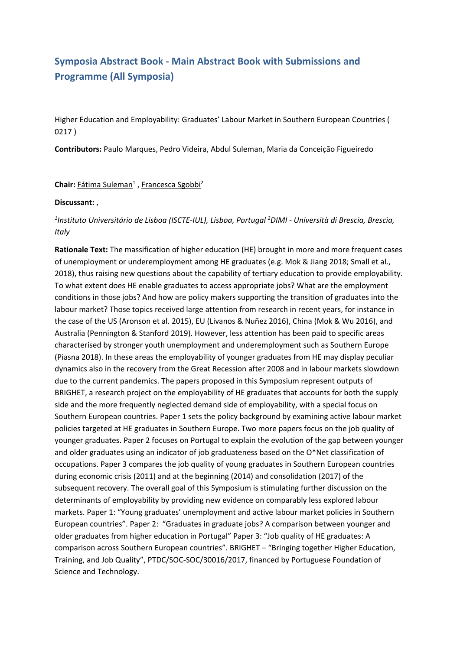# **Symposia Abstract Book - Main Abstract Book with Submissions and Programme (All Symposia)**

Higher Education and Employability: Graduates' Labour Market in Southern European Countries ( 0217 )

**Contributors:** Paulo Marques, Pedro Videira, Abdul Suleman, Maria da Conceição Figueiredo

**Chair:** Fátima Suleman<sup>1</sup>, Francesca Sgobbi<sup>2</sup>

#### **Discussant:** ,

## *1 Instituto Universitário de Lisboa (ISCTE-IUL), Lisboa, Portugal 2 DIMI - Università di Brescia, Brescia, Italy*

**Rationale Text:** The massification of higher education (HE) brought in more and more frequent cases of unemployment or underemployment among HE graduates (e.g. Mok & Jiang 2018; Small et al., 2018), thus raising new questions about the capability of tertiary education to provide employability. To what extent does HE enable graduates to access appropriate jobs? What are the employment conditions in those jobs? And how are policy makers supporting the transition of graduates into the labour market? Those topics received large attention from research in recent years, for instance in the case of the US (Aronson et al. 2015), EU (Livanos & Nuñez 2016), China (Mok & Wu 2016), and Australia (Pennington & Stanford 2019). However, less attention has been paid to specific areas characterised by stronger youth unemployment and underemployment such as Southern Europe (Piasna 2018). In these areas the employability of younger graduates from HE may display peculiar dynamics also in the recovery from the Great Recession after 2008 and in labour markets slowdown due to the current pandemics. The papers proposed in this Symposium represent outputs of BRIGHET, <sup>a</sup> research project on the employability of HE graduates that accounts for both the supply side and the more frequently neglected demand side of employability, with <sup>a</sup> special focus on Southern European countries. Paper 1 sets the policy background by examining active labour market policies targeted at HE graduates in Southern Europe. Two more papers focus on the job quality of younger graduates. Paper 2 focuses on Portugal to explain the evolution of the gap between younger and older graduates using an indicator of job graduateness based on the O\*Net classification of occupations. Paper 3 compares the job quality of young graduates in Southern European countries during economic crisis (2011) and at the beginning (2014) and consolidation (2017) of the subsequent recovery. The overall goal of this Symposium is stimulating further discussion on the determinants of employability by providing new evidence on comparably less explored labour markets. Paper 1: "Young graduates' unemployment and active labour market policies in Southern European countries". Paper 2: "Graduates in graduate jobs? A comparison between younger and older graduates from higher education in Portugal" Paper 3: "Job quality of HE graduates: A comparison across Southern European countries". BRIGHET – "Bringing together Higher Education, Training, and Job Quality", PTDC/SOC-SOC/30016/2017, financed by Portuguese Foundation of Science and Technology.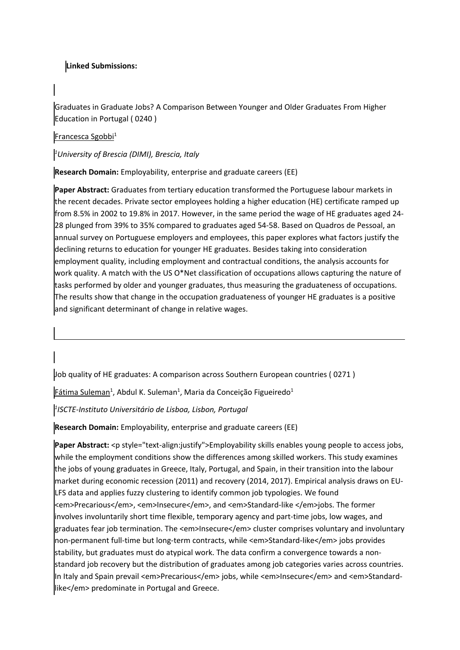## **Linked Submissions:**

Graduates in Graduate Jobs? A Comparison Between Younger and Older Graduates From Higher Education in Portugal ( 0240 )

#### Francesca Sgobbi<sup>1</sup>

*1 University of Brescia (DIMI), Brescia, Italy*

**Research Domain:** Employability, enterprise and graduate careers (EE)

**Paper Abstract:** Graduates from tertiary education transformed the Portuguese labour markets in the recent decades. Private sector employees holding <sup>a</sup> higher education (HE) certificate ramped up from 8.5% in 2002 to 19.8% in 2017. However, in the same period the wage of HE graduates aged 24- 28 plunged from 39% to 35% compared to graduates aged 54-58. Based on Quadros de Pessoal, an annual survey on Portuguese employers and employees, this paper explores what factors justify the declining returns to education for younger HE graduates. Besides taking into consideration employment quality, including employment and contractual conditions, the analysis accounts for work quality. A match with the US O\*Net classification of occupations allows capturing the nature of tasks performed by older and younger graduates, thus measuring the graduateness of occupations. The results show that change in the occupation graduateness of younger HE graduates is <sup>a</sup> positive and significant determinant of change in relative wages.

Job quality of HE graduates: A comparison across Southern European countries ( 0271 )

Fátima Suleman<sup>1</sup>, Abdul K. Suleman<sup>1</sup>, Maria da Conceição Figueiredo<sup>1</sup>

*1 ISCTE-Instituto Universitário de Lisboa, Lisbon, Portugal*

**Research Domain:** Employability, enterprise and graduate careers (EE)

**Paper Abstract:** <p style="text-align:justify">Employability skills enables young people to access jobs, while the employment conditions show the differences among skilled workers. This study examines the jobs of young graduates in Greece, Italy, Portugal, and Spain, in their transition into the labour market during economic recession (2011) and recovery (2014, 2017). Empirical analysis draws on EU-LFS data and applies fuzzy clustering to identify common job typologies. We found <em>Precarious</em>, <em>Insecure</em>, and <em>Standard-like </em>jobs. The former involves involuntarily short time flexible, temporary agency and part-time jobs, low wages, and graduates fear job termination. The <em>Insecure</em> cluster comprises voluntary and involuntary non-permanent full-time but long-term contracts, while <em>Standard-like</em> jobs provides stability, but graduates must do atypical work. The data confirm <sup>a</sup> convergence towards <sup>a</sup> nonstandard job recovery but the distribution of graduates among job categories varies across countries. In Italy and Spain prevail <em>Precarious</em> jobs, while <em>Insecure</em> and <em>Standardlike</em> predominate in Portugal and Greece.